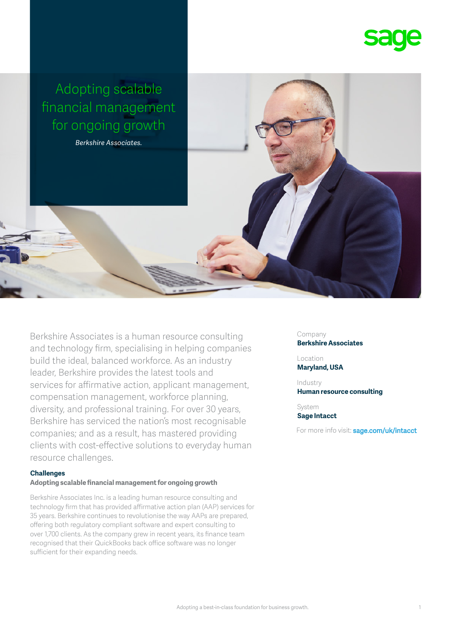

Berkshire Associates is a human resource consulting and technology firm, specialising in helping companies build the ideal, balanced workforce. As an industry leader, Berkshire provides the latest tools and services for affirmative action, applicant management, compensation management, workforce planning, diversity, and professional training. For over 30 years, Berkshire has serviced the nation's most recognisable companies; and as a result, has mastered providing clients with cost-effective solutions to everyday human resource challenges.

### **Challenges**

#### **Adopting scalable financial management for ongoing growth**

Berkshire Associates Inc. is a leading human resource consulting and technology firm that has provided affirmative action plan (AAP) services for 35 years. Berkshire continues to revolutionise the way AAPs are prepared, offering both regulatory compliant software and expert consulting to over 1,700 clients. As the company grew in recent years, its finance team recognised that their QuickBooks back office software was no longer sufficient for their expanding needs.

Company **Berkshire Associates**

Location **Maryland, USA**

Industry **Human resource consulting**

System **Sage Intacct**

For more info visit: **sage.com/uk/intacct**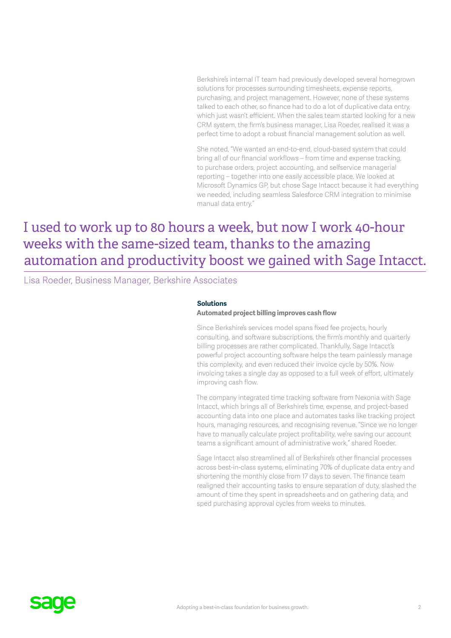Berkshire's internal IT team had previously developed several homegrown solutions for processes surrounding timesheets, expense reports, purchasing, and project management. However, none of these systems talked to each other, so finance had to do a lot of duplicative data entry, which just wasn't efficient. When the sales team started looking for a new CRM system, the firm's business manager, Lisa Roeder, realised it was a perfect time to adopt a robust financial management solution as well.

She noted, "We wanted an end-to-end, cloud-based system that could bring all of our financial workflows – from time and expense tracking, to purchase orders, project accounting, and selfservice managerial reporting – together into one easily accessible place. We looked at Microsoft Dynamics GP, but chose Sage Intacct because it had everything we needed, including seamless Salesforce CRM integration to minimise manual data entry."

# I used to work up to 80 hours a week, but now I work 40-hour weeks with the same-sized team, thanks to the amazing automation and productivity boost we gained with Sage Intacct.

Lisa Roeder, Business Manager, Berkshire Associates

### **Solutions**

## **Automated project billing improves cash flow**

Since Berkshire's services model spans fixed fee projects, hourly consulting, and software subscriptions, the firm's monthly and quarterly billing processes are rather complicated. Thankfully, Sage Intacct's powerful project accounting software helps the team painlessly manage this complexity, and even reduced their invoice cycle by 50%. Now invoicing takes a single day as opposed to a full week of effort, ultimately improving cash flow.

The company integrated time tracking software from Nexonia with Sage Intacct, which brings all of Berkshire's time, expense, and project-based accounting data into one place and automates tasks like tracking project hours, managing resources, and recognising revenue. "Since we no longer have to manually calculate project profitability, we're saving our account teams a significant amount of administrative work," shared Roeder.

Sage Intacct also streamlined all of Berkshire's other financial processes across best-in-class systems, eliminating 70% of duplicate data entry and shortening the monthly close from 17 days to seven. The finance team realigned their accounting tasks to ensure separation of duty, slashed the amount of time they spent in spreadsheets and on gathering data, and sped purchasing approval cycles from weeks to minutes.